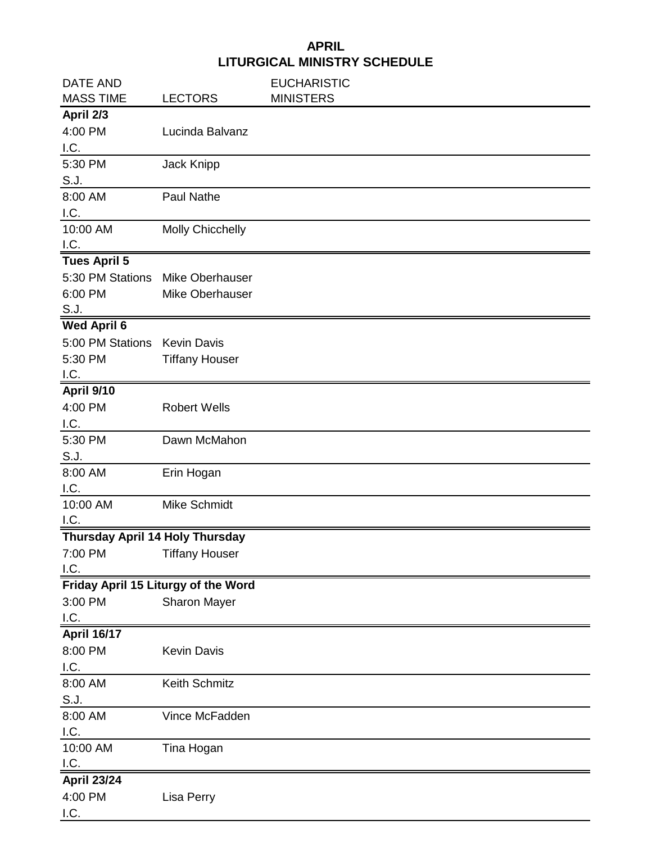## **APRIL LITURGICAL MINISTRY SCHEDULE**

| <b>DATE AND</b>                 |                                     | <b>EUCHARISTIC</b> |
|---------------------------------|-------------------------------------|--------------------|
| <b>MASS TIME</b>                | <b>LECTORS</b>                      | <b>MINISTERS</b>   |
| April 2/3                       |                                     |                    |
| 4:00 PM                         | Lucinda Balvanz                     |                    |
| I.C.                            |                                     |                    |
| 5:30 PM                         | Jack Knipp                          |                    |
| S.J.                            |                                     |                    |
| 8:00 AM                         | <b>Paul Nathe</b>                   |                    |
| I.C.                            |                                     |                    |
| 10:00 AM                        | <b>Molly Chicchelly</b>             |                    |
| I.C.                            |                                     |                    |
| <b>Tues April 5</b>             |                                     |                    |
| 5:30 PM Stations                | Mike Oberhauser                     |                    |
| 6:00 PM                         | Mike Oberhauser                     |                    |
| S.J.                            |                                     |                    |
| <b>Wed April 6</b>              |                                     |                    |
| 5:00 PM Stations                | <b>Kevin Davis</b>                  |                    |
| 5:30 PM                         | <b>Tiffany Houser</b>               |                    |
| I.C.                            |                                     |                    |
| April 9/10                      |                                     |                    |
| 4:00 PM                         | <b>Robert Wells</b>                 |                    |
| I.C.                            |                                     |                    |
| 5:30 PM                         | Dawn McMahon                        |                    |
| S.J.                            |                                     |                    |
| 8:00 AM                         | Erin Hogan                          |                    |
| I.C.                            |                                     |                    |
| 10:00 AM                        | Mike Schmidt                        |                    |
| I.C.                            |                                     |                    |
| Thursday April 14 Holy Thursday |                                     |                    |
| 7:00 PM<br>I.C.                 | <b>Tiffany Houser</b>               |                    |
|                                 |                                     |                    |
| 3:00 PM                         | Friday April 15 Liturgy of the Word |                    |
| I.C.                            | Sharon Mayer                        |                    |
| <b>April 16/17</b>              |                                     |                    |
| 8:00 PM                         | Kevin Davis                         |                    |
| I.C.                            |                                     |                    |
| 8:00 AM                         | Keith Schmitz                       |                    |
| S.J.                            |                                     |                    |
| 8:00 AM                         | Vince McFadden                      |                    |
| I.C.                            |                                     |                    |
| 10:00 AM                        | Tina Hogan                          |                    |
| I.C.                            |                                     |                    |
| <b>April 23/24</b>              |                                     |                    |
| 4:00 PM                         | Lisa Perry                          |                    |
| I.C.                            |                                     |                    |
|                                 |                                     |                    |